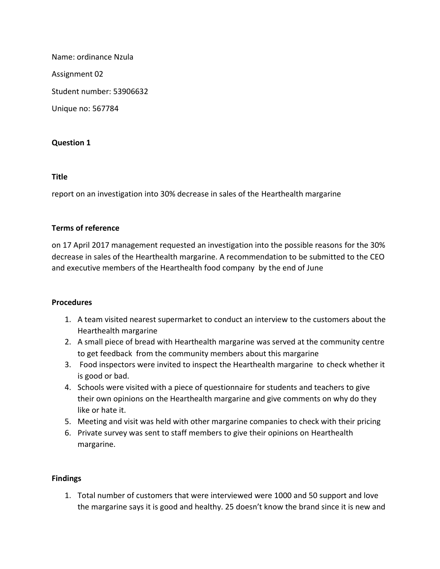Name: ordinance Nzula Assignment 02 Student number: 53906632 Unique no: 567784

# **Question 1**

### **Title**

report on an investigation into 30% decrease in sales of the Hearthealth margarine

### **Terms of reference**

on 17 April 2017 management requested an investigation into the possible reasons for the 30% decrease in sales of the Hearthealth margarine. A recommendation to be submitted to the CEO and executive members of the Hearthealth food company by the end of June

# **Procedures**

- 1. A team visited nearest supermarket to conduct an interview to the customers about the Hearthealth margarine
- 2. A small piece of bread with Hearthealth margarine was served at the community centre to get feedback from the community members about this margarine
- 3. Food inspectors were invited to inspect the Hearthealth margarine to check whether it is good or bad.
- 4. Schools were visited with a piece of questionnaire for students and teachers to give their own opinions on the Hearthealth margarine and give comments on why do they like or hate it.
- 5. Meeting and visit was held with other margarine companies to check with their pricing
- 6. Private survey was sent to staff members to give their opinions on Hearthealth margarine.

# **Findings**

1. Total number of customers that were interviewed were 1000 and 50 support and love the margarine says it is good and healthy. 25 doesn't know the brand since it is new and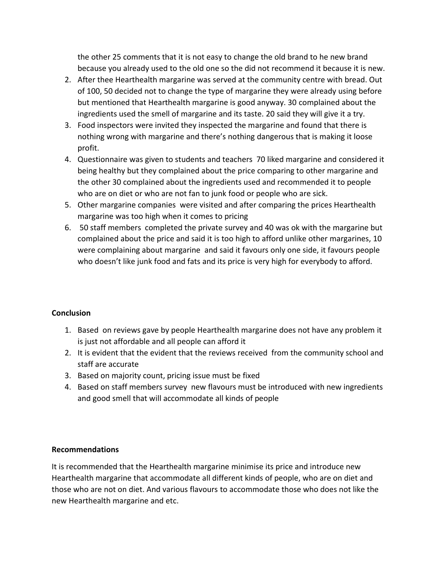the other 25 comments that it is not easy to change the old brand to he new brand because you already used to the old one so the did not recommend it because it is new.

- 2. After thee Hearthealth margarine was served at the community centre with bread. Out of 100, 50 decided not to change the type of margarine they were already using before but mentioned that Hearthealth margarine is good anyway. 30 complained about the ingredients used the smell of margarine and its taste. 20 said they will give it a try.
- 3. Food inspectors were invited they inspected the margarine and found that there is nothing wrong with margarine and there's nothing dangerous that is making it loose profit.
- 4. Questionnaire was given to students and teachers 70 liked margarine and considered it being healthy but they complained about the price comparing to other margarine and the other 30 complained about the ingredients used and recommended it to people who are on diet or who are not fan to junk food or people who are sick.
- 5. Other margarine companies were visited and after comparing the prices Hearthealth margarine was too high when it comes to pricing
- 6. 50 staff members completed the private survey and 40 was ok with the margarine but complained about the price and said it is too high to afford unlike other margarines, 10 were complaining about margarine and said it favours only one side, it favours people who doesn't like junk food and fats and its price is very high for everybody to afford.

# **Conclusion**

- 1. Based on reviews gave by people Hearthealth margarine does not have any problem it is just not affordable and all people can afford it
- 2. It is evident that the evident that the reviews received from the community school and staff are accurate
- 3. Based on majority count, pricing issue must be fixed
- 4. Based on staff members survey new flavours must be introduced with new ingredients and good smell that will accommodate all kinds of people

# **Recommendations**

It is recommended that the Hearthealth margarine minimise its price and introduce new Hearthealth margarine that accommodate all different kinds of people, who are on diet and those who are not on diet. And various flavours to accommodate those who does not like the new Hearthealth margarine and etc.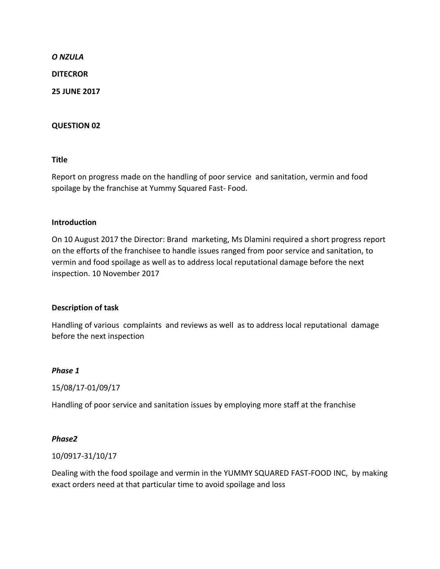#### *O NZULA*

**DITECROR**

**25 JUNE 2017**

#### **QUESTION 02**

**Title**

Report on progress made on the handling of poor service and sanitation, vermin and food spoilage by the franchise at Yummy Squared Fast- Food.

#### **Introduction**

On 10 August 2017 the Director: Brand marketing, Ms Dlamini required a short progress report on the efforts of the franchisee to handle issues ranged from poor service and sanitation, to vermin and food spoilage as well as to address local reputational damage before the next inspection. 10 November 2017

### **Description of task**

Handling of various complaints and reviews as well as to address local reputational damage before the next inspection

#### *Phase 1*

15/08/17-01/09/17

Handling of poor service and sanitation issues by employing more staff at the franchise

### *Phase2*

### 10/0917-31/10/17

Dealing with the food spoilage and vermin in the YUMMY SQUARED FAST-FOOD INC, by making exact orders need at that particular time to avoid spoilage and loss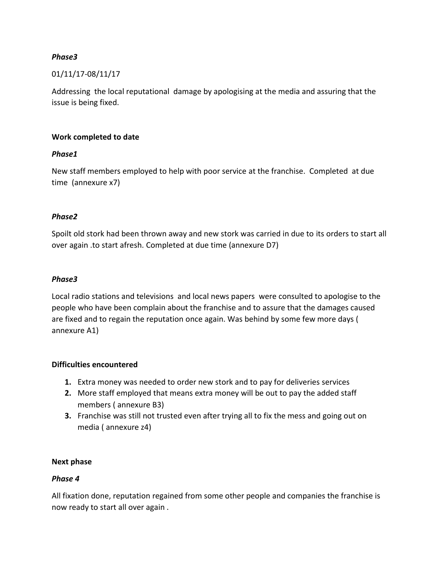## *Phase3*

### 01/11/17-08/11/17

Addressing the local reputational damage by apologising at the media and assuring that the issue is being fixed.

### **Work completed to date**

### *Phase1*

New staff members employed to help with poor service at the franchise. Completed at due time (annexure x7)

#### *Phase2*

Spoilt old stork had been thrown away and new stork was carried in due to its orders to start all over again .to start afresh. Completed at due time (annexure D7)

#### *Phase3*

Local radio stations and televisions and local news papers were consulted to apologise to the people who have been complain about the franchise and to assure that the damages caused are fixed and to regain the reputation once again. Was behind by some few more days ( annexure A1)

### **Difficulties encountered**

- **1.** Extra money was needed to order new stork and to pay for deliveries services
- **2.** More staff employed that means extra money will be out to pay the added staff members ( annexure B3)
- **3.** Franchise was still not trusted even after trying all to fix the mess and going out on media ( annexure z4)

### **Next phase**

### *Phase 4*

All fixation done, reputation regained from some other people and companies the franchise is now ready to start all over again .